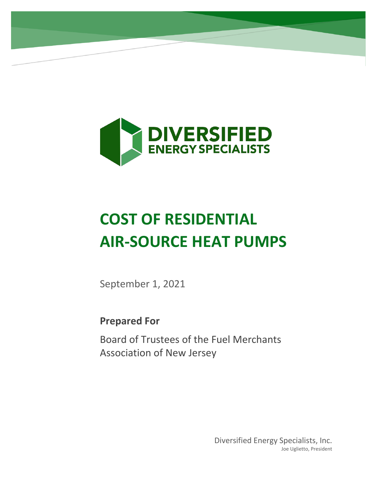

# **COST OF RESIDENTIAL AIR-SOURCE HEAT PUMPS**

September 1, 2021

**Prepared For**

Board of Trustees of the Fuel Merchants Association of New Jersey

> Diversified Energy Specialists, Inc. Joe Uglietto, President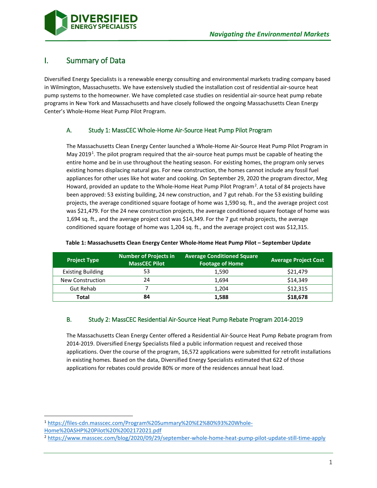

# I. Summary of Data

Diversified Energy Specialists is a renewable energy consulting and environmental markets trading company based in Wilmington, Massachusetts. We have extensively studied the installation cost of residential air-source heat pump systems to the homeowner. We have completed case studies on residential air-source heat pump rebate programs in New York and Massachusetts and have closely followed the ongoing Massachusetts Clean Energy Center's Whole-Home Heat Pump Pilot Program.

## A. Study 1: MassCEC Whole-Home Air-Source Heat Pump Pilot Program

The Massachusetts Clean Energy Center launched a Whole-Home Air-Source Heat Pump Pilot Program in May 20[1](#page-1-0)9<sup>1</sup>. The pilot program required that the air-source heat pumps must be capable of heating the entire home and be in use throughout the heating season. For existing homes, the program only serves existing homes displacing natural gas. For new construction, the homes cannot include any fossil fuel appliances for other uses like hot water and cooking. On September 29, 2020 the program director, Meg Howard, provided an update to the Whole-Home Heat Pump Pilot Program<sup>[2](#page-1-1)</sup>. A total of 84 projects have been approved: 53 existing building, 24 new construction, and 7 gut rehab. For the 53 existing building projects, the average conditioned square footage of home was 1,590 sq. ft., and the average project cost was \$21,479. For the 24 new construction projects, the average conditioned square footage of home was 1,694 sq. ft., and the average project cost was \$14,349. For the 7 gut rehab projects, the average conditioned square footage of home was 1,204 sq. ft., and the average project cost was \$12,315.

| <b>Project Type</b>      | <b>Number of Projects in</b><br><b>MassCEC Pilot</b> | <b>Average Conditioned Square</b><br><b>Footage of Home</b> | <b>Average Project Cost</b> |
|--------------------------|------------------------------------------------------|-------------------------------------------------------------|-----------------------------|
| <b>Existing Building</b> | 53                                                   | 1,590                                                       | \$21,479                    |
| New Construction         | 24                                                   | 1.694                                                       | \$14,349                    |
| <b>Gut Rehab</b>         |                                                      | 1,204                                                       | \$12,315                    |
| Total                    | 84                                                   | 1,588                                                       | \$18,678                    |

#### **Table 1: Massachusetts Clean Energy Center Whole-Home Heat Pump Pilot – September Update**

## B. Study 2: MassCEC Residential Air-Source Heat Pump Rebate Program 2014-2019

The Massachusetts Clean Energy Center offered a Residential Air-Source Heat Pump Rebate program from 2014-2019. Diversified Energy Specialists filed a public information request and received those applications. Over the course of the program, 16,572 applications were submitted for retrofit installations in existing homes. Based on the data, Diversified Energy Specialists estimated that 622 of those applications for rebates could provide 80% or more of the residences annual heat load.

<span id="page-1-0"></span> <sup>1</sup> [https://files-cdn.masscec.com/Program%20Summary%20%E2%80%93%20Whole-](https://files-cdn.masscec.com/Program%20Summary%20%E2%80%93%20Whole-Home%20ASHP%20Pilot%20%2002172021.pdf)

[Home%20ASHP%20Pilot%20%2002172021.pdf](https://files-cdn.masscec.com/Program%20Summary%20%E2%80%93%20Whole-Home%20ASHP%20Pilot%20%2002172021.pdf)

<span id="page-1-1"></span><sup>2</sup> <https://www.masscec.com/blog/2020/09/29/september-whole-home-heat-pump-pilot-update-still-time-apply>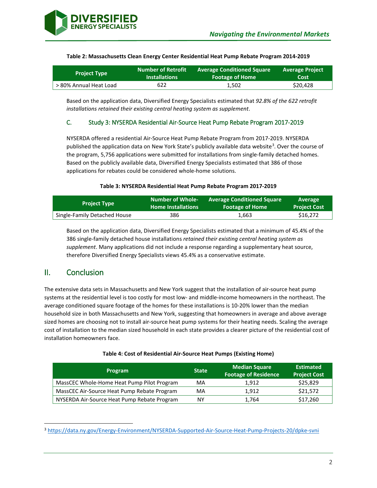

| <b>Project Type</b>    | <b>Number of Retrofit</b> | Average Conditioned Square | <b>Average Project</b> |
|------------------------|---------------------------|----------------------------|------------------------|
|                        | <b>Installations</b>      | <b>Footage of Home</b>     | Cost                   |
| > 80% Annual Heat Load | 622                       | 1.502                      | \$20,428               |

#### **Table 2: Massachusetts Clean Energy Center Residential Heat Pump Rebate Program 2014-2019**

Based on the application data, Diversified Energy Specialists estimated that *92.8% of the 622 retrofit installations retained their existing central heating system as supplement*.

### C. Study 3: NYSERDA Residential Air-Source Heat Pump Rebate Program 2017-2019

NYSERDA offered a residential Air-Source Heat Pump Rebate Program from 2017-2019. NYSERDA published the application data on New York State's publicly available data website<sup>[3](#page-2-0)</sup>. Over the course of the program, 5,756 applications were submitted for installations from single-family detached homes. Based on the publicly available data, Diversified Energy Specialists estimated that 386 of those applications for rebates could be considered whole-home solutions.

#### **Table 3: NYSERDA Residential Heat Pump Rebate Program 2017-2019**

| <b>Project Type</b>          | <b>Number of Whole-</b>   | <b>Average Conditioned Square</b> | Average             |
|------------------------------|---------------------------|-----------------------------------|---------------------|
|                              | <b>Home Installations</b> | <b>Footage of Home</b>            | <b>Project Cost</b> |
| Single-Family Detached House | 386                       | 1.663                             | \$16,272            |

Based on the application data, Diversified Energy Specialists estimated that a minimum of 45.4% of the 386 single-family detached house installations *retained their existing central heating system as supplement*. Many applications did not include a response regarding a supplementary heat source, therefore Diversified Energy Specialists views 45.4% as a conservative estimate.

# II. Conclusion

The extensive data sets in Massachusetts and New York suggest that the installation of air-source heat pump systems at the residential level is too costly for most low- and middle-income homeowners in the northeast. The average conditioned square footage of the homes for these installations is 10-20% lower than the median household size in both Massachusetts and New York, suggesting that homeowners in average and above average sized homes are choosing not to install air-source heat pump systems for their heating needs. Scaling the average cost of installation to the median sized household in each state provides a clearer picture of the residential cost of installation homeowners face.

| <b>Program</b>                              | <b>State</b> | <b>Median Square</b><br><b>Footage of Residence</b> | <b>Estimated</b><br><b>Project Cost</b> |
|---------------------------------------------|--------------|-----------------------------------------------------|-----------------------------------------|
| MassCEC Whole-Home Heat Pump Pilot Program  | MA           | 1.912                                               | \$25,829                                |
| MassCEC Air-Source Heat Pump Rebate Program | MA           | 1.912                                               | \$21,572                                |
| NYSERDA Air-Source Heat Pump Rebate Program | ΝY           | 1.764                                               | \$17,260                                |

<span id="page-2-0"></span> <sup>3</sup> <https://data.ny.gov/Energy-Environment/NYSERDA-Supported-Air-Source-Heat-Pump-Projects-20/dpke-svni>